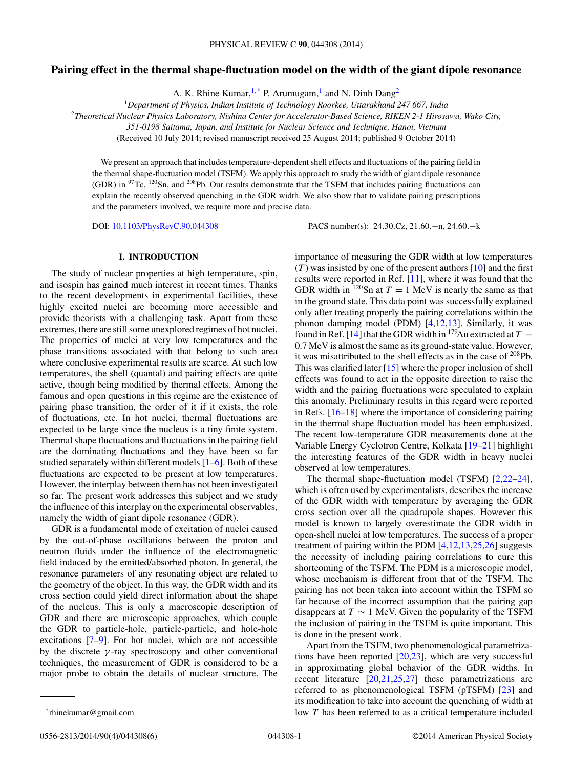# **Pairing effect in the thermal shape-fluctuation model on the width of the giant dipole resonance**

A. K. Rhine Kumar,  $1, *$  P. Arumugam,<sup>1</sup> and N. Dinh Dang<sup>2</sup>

<sup>1</sup>*Department of Physics, Indian Institute of Technology Roorkee, Uttarakhand 247 667, India*

<sup>2</sup>*Theoretical Nuclear Physics Laboratory, Nishina Center for Accelerator-Based Science, RIKEN 2-1 Hirosawa, Wako City,*

*351-0198 Saitama, Japan, and Institute for Nuclear Science and Technique, Hanoi, Vietnam*

(Received 10 July 2014; revised manuscript received 25 August 2014; published 9 October 2014)

We present an approach that includes temperature-dependent shell effects and fluctuations of the pairing field in the thermal shape-fluctuation model (TSFM). We apply this approach to study the width of giant dipole resonance (GDR) in 97Tc, 120Sn, and 208Pb. Our results demonstrate that the TSFM that includes pairing fluctuations can explain the recently observed quenching in the GDR width. We also show that to validate pairing prescriptions and the parameters involved, we require more and precise data.

DOI: [10.1103/PhysRevC.90.044308](http://dx.doi.org/10.1103/PhysRevC.90.044308) PACS number(s): 24.30.Cz, <sup>21</sup>.60.−n, <sup>24</sup>.60.−<sup>k</sup>

# **I. INTRODUCTION**

The study of nuclear properties at high temperature, spin, and isospin has gained much interest in recent times. Thanks to the recent developments in experimental facilities, these highly excited nuclei are becoming more accessible and provide theorists with a challenging task. Apart from these extremes, there are still some unexplored regimes of hot nuclei. The properties of nuclei at very low temperatures and the phase transitions associated with that belong to such area where conclusive experimental results are scarce. At such low temperatures, the shell (quantal) and pairing effects are quite active, though being modified by thermal effects. Among the famous and open questions in this regime are the existence of pairing phase transition, the order of it if it exists, the role of fluctuations, etc. In hot nuclei, thermal fluctuations are expected to be large since the nucleus is a tiny finite system. Thermal shape fluctuations and fluctuations in the pairing field are the dominating fluctuations and they have been so far studied separately within different models [\[1–6\]](#page-4-0). Both of these fluctuations are expected to be present at low temperatures. However, the interplay between them has not been investigated so far. The present work addresses this subject and we study the influence of this interplay on the experimental observables, namely the width of giant dipole resonance (GDR).

GDR is a fundamental mode of excitation of nuclei caused by the out-of-phase oscillations between the proton and neutron fluids under the influence of the electromagnetic field induced by the emitted/absorbed photon. In general, the resonance parameters of any resonating object are related to the geometry of the object. In this way, the GDR width and its cross section could yield direct information about the shape of the nucleus. This is only a macroscopic description of GDR and there are microscopic approaches, which couple the GDR to particle-hole, particle-particle, and hole-hole excitations [\[7–9\]](#page-4-0). For hot nuclei, which are not accessible by the discrete  $\gamma$ -ray spectroscopy and other conventional techniques, the measurement of GDR is considered to be a major probe to obtain the details of nuclear structure. The

importance of measuring the GDR width at low temperatures  $(T)$  was insisted by one of the present authors [\[10\]](#page-4-0) and the first results were reported in Ref. [\[11\]](#page-4-0), where it was found that the GDR width in  $120$ Sn at  $T = 1$  MeV is nearly the same as that in the ground state. This data point was successfully explained only after treating properly the pairing correlations within the phonon damping model (PDM) [\[4,12,13\]](#page-4-0). Similarly, it was found in Ref. [\[14\]](#page-4-0) that the GDR width in <sup>179</sup>Au extracted at  $T =$ 0.7 MeV is almost the same as its ground-state value. However, it was misattributed to the shell effects as in the case of 208Pb. This was clarified later [\[15\]](#page-4-0) where the proper inclusion of shell effects was found to act in the opposite direction to raise the width and the pairing fluctuations were speculated to explain this anomaly. Preliminary results in this regard were reported in Refs. [\[16](#page-4-0)[–18\]](#page-5-0) where the importance of considering pairing in the thermal shape fluctuation model has been emphasized. The recent low-temperature GDR measurements done at the Variable Energy Cyclotron Centre, Kolkata [\[19–21\]](#page-5-0) highlight the interesting features of the GDR width in heavy nuclei observed at low temperatures.

The thermal shape-fluctuation model (TSFM) [\[2,](#page-4-0)[22–24\]](#page-5-0), which is often used by experimentalists, describes the increase of the GDR width with temperature by averaging the GDR cross section over all the quadrupole shapes. However this model is known to largely overestimate the GDR width in open-shell nuclei at low temperatures. The success of a proper treatment of pairing within the PDM [\[4,12,13](#page-4-0)[,25,26\]](#page-5-0) suggests the necessity of including pairing correlations to cure this shortcoming of the TSFM. The PDM is a microscopic model, whose mechanism is different from that of the TSFM. The pairing has not been taken into account within the TSFM so far because of the incorrect assumption that the pairing gap disappears at  $T \sim 1$  MeV. Given the popularity of the TSFM the inclusion of pairing in the TSFM is quite important. This is done in the present work.

Apart from the TSFM, two phenomenological parametrizations have been reported [\[20,23\]](#page-5-0), which are very successful in approximating global behavior of the GDR widths. In recent literature [\[20,21,25,27\]](#page-5-0) these parametrizations are referred to as phenomenological TSFM (pTSFM) [\[23\]](#page-5-0) and its modification to take into account the quenching of width at low T has been referred to as a critical temperature included

<sup>\*</sup>rhinekumar@gmail.com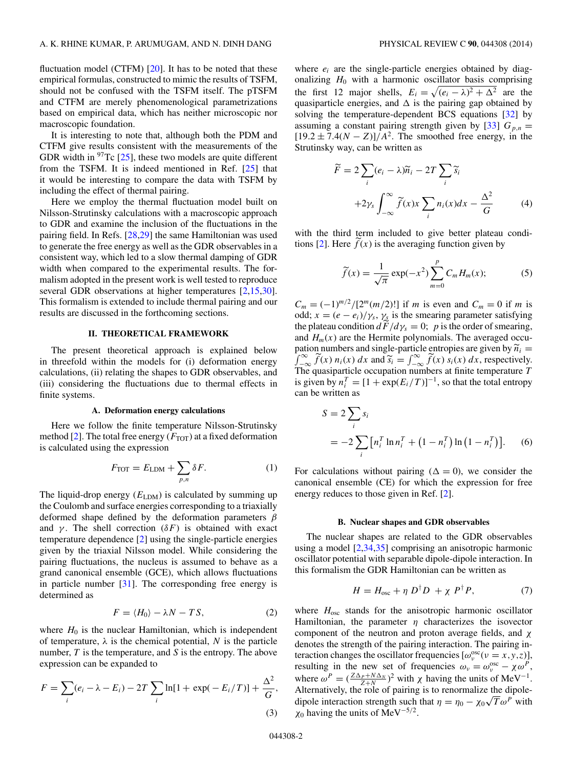<span id="page-1-0"></span>fluctuation model (CTFM)  $[20]$ . It has to be noted that these empirical formulas, constructed to mimic the results of TSFM, should not be confused with the TSFM itself. The pTSFM and CTFM are merely phenomenological parametrizations based on empirical data, which has neither microscopic nor macroscopic foundation.

It is interesting to note that, although both the PDM and CTFM give results consistent with the measurements of the GDR width in  $97$ Tc [\[25\]](#page-5-0), these two models are quite different from the TSFM. It is indeed mentioned in Ref. [\[25\]](#page-5-0) that it would be interesting to compare the data with TSFM by including the effect of thermal pairing.

Here we employ the thermal fluctuation model built on Nilsson-Strutinsky calculations with a macroscopic approach to GDR and examine the inclusion of the fluctuations in the pairing field. In Refs. [\[28,29\]](#page-5-0) the same Hamiltonian was used to generate the free energy as well as the GDR observables in a consistent way, which led to a slow thermal damping of GDR width when compared to the experimental results. The formalism adopted in the present work is well tested to reproduce several GDR observations at higher temperatures [\[2,15,](#page-4-0)[30\]](#page-5-0). This formalism is extended to include thermal pairing and our results are discussed in the forthcoming sections.

#### **II. THEORETICAL FRAMEWORK**

The present theoretical approach is explained below in threefold within the models for (i) deformation energy calculations, (ii) relating the shapes to GDR observables, and (iii) considering the fluctuations due to thermal effects in finite systems.

#### **A. Deformation energy calculations**

Here we follow the finite temperature Nilsson-Strutinsky method [\[2\]](#page-4-0). The total free energy ( $F_{\text{TOT}}$ ) at a fixed deformation is calculated using the expression

$$
F_{\text{TOT}} = E_{\text{LDM}} + \sum_{p,n} \delta F. \tag{1}
$$

The liquid-drop energy  $(E_{LDM})$  is calculated by summing up the Coulomb and surface energies corresponding to a triaxially deformed shape defined by the deformation parameters  $\beta$ and  $\gamma$ . The shell correction ( $\delta F$ ) is obtained with exact temperature dependence [\[2\]](#page-4-0) using the single-particle energies given by the triaxial Nilsson model. While considering the pairing fluctuations, the nucleus is assumed to behave as a grand canonical ensemble (GCE), which allows fluctuations in particle number [\[31\]](#page-5-0). The corresponding free energy is determined as

$$
F = \langle H_0 \rangle - \lambda N - TS,
$$
 (2)

where  $H_0$  is the nuclear Hamiltonian, which is independent of temperature,  $\lambda$  is the chemical potential, N is the particle number,  $T$  is the temperature, and  $S$  is the entropy. The above expression can be expanded to

$$
F = \sum_{i} (e_i - \lambda - E_i) - 2T \sum_{i} \ln[1 + \exp(-E_i/T)] + \frac{\Delta^2}{G},
$$
\n(3)

where  $e_i$  are the single-particle energies obtained by diagonalizing  $H_0$  with a harmonic oscillator basis comprising the first 12 major shells,  $E_i = \sqrt{(e_i - \lambda)^2 + \Delta^2}$  are the quasiparticle energies, and  $\Delta$  is the pairing gap obtained by solving the temperature-dependent BCS equations [\[32\]](#page-5-0) by assuming a constant pairing strength given by [\[33\]](#page-5-0)  $G_{p,n} =$  $[19.2 \pm 7.4(N - Z)]/A^2$ . The smoothed free energy, in the Strutinsky way, can be written as

$$
\widetilde{F} = 2 \sum_{i} (e_i - \lambda) \widetilde{n}_i - 2T \sum_{i} \widetilde{s}_i
$$

$$
+ 2\gamma_s \int_{-\infty}^{\infty} \widetilde{f}(x) x \sum_{i} n_i(x) dx - \frac{\Delta^2}{G} \tag{4}
$$

with the third term included to give better plateau condi-tions [\[2\]](#page-4-0). Here  $\tilde{f}(x)$  is the averaging function given by

$$
\widetilde{f}(x) = \frac{1}{\sqrt{\pi}} \exp(-x^2) \sum_{m=0}^{p} C_m H_m(x);
$$
 (5)

 $C_m = (-1)^{m/2}/[2^m(m/2)!]$  if m is even and  $C_m = 0$  if m is odd;  $x = (e - e_i)/\gamma_s$ ,  $\gamma_s$  is the smearing parameter satisfying the plateau condition  $d\widetilde{F}/dy_s = 0$ ; p is the order of smearing, and  $H_m(x)$  are the Hermite polynomials. The averaged occu- $\int_{-\infty}^{\infty} \widetilde{f}(x) n_i(x) dx$  and  $\widetilde{s}_i = \int_{-\infty}^{\infty} \widetilde{f}(x) s_i(x) dx$ , respectively. pation numbers and single-particle entropies are given by  $\widetilde{n}_i =$ The quasiparticle occupation numbers at finite temperature  $T$ is given by  $n_i^T = [1 + \exp(E_i/T)]^{-1}$ , so that the total entropy can be written as

$$
S = 2 \sum_{i} s_{i}
$$
  
=  $-2 \sum_{i} [n_{i}^{T} \ln n_{i}^{T} + (1 - n_{i}^{T}) \ln (1 - n_{i}^{T})].$  (6)

For calculations without pairing ( $\Delta = 0$ ), we consider the canonical ensemble (CE) for which the expression for free energy reduces to those given in Ref. [\[2\]](#page-4-0).

## **B. Nuclear shapes and GDR observables**

The nuclear shapes are related to the GDR observables using a model [\[2](#page-4-0)[,34,35\]](#page-5-0) comprising an anisotropic harmonic oscillator potential with separable dipole-dipole interaction. In this formalism the GDR Hamiltonian can be written as

$$
H = H_{\text{osc}} + \eta D^{\dagger} D + \chi P^{\dagger} P, \tag{7}
$$

where  $H_{\text{osc}}$  stands for the anisotropic harmonic oscillator Hamiltonian, the parameter  $\eta$  characterizes the isovector component of the neutron and proton average fields, and  $\chi$ denotes the strength of the pairing interaction. The pairing interaction changes the oscillator frequencies  $[\omega_v^{\text{osc}}(v = x, y, z)]$ resulting in the new set of frequencies  $\omega_v = \omega_v^{\text{osc}} - \chi \omega_t^P$ , where  $\omega^P = (\frac{Z\Delta_P + N\Delta_N}{Z+N})^2$  with  $\chi$  having the units of MeV<sup>-1</sup>. Alternatively, the role of pairing is to renormalize the dipoledipole interaction strength such that  $\eta = \eta_0 - \chi_0 \sqrt{T} \omega^P$  with  $\chi_0$  having the units of MeV<sup>-5/2</sup>.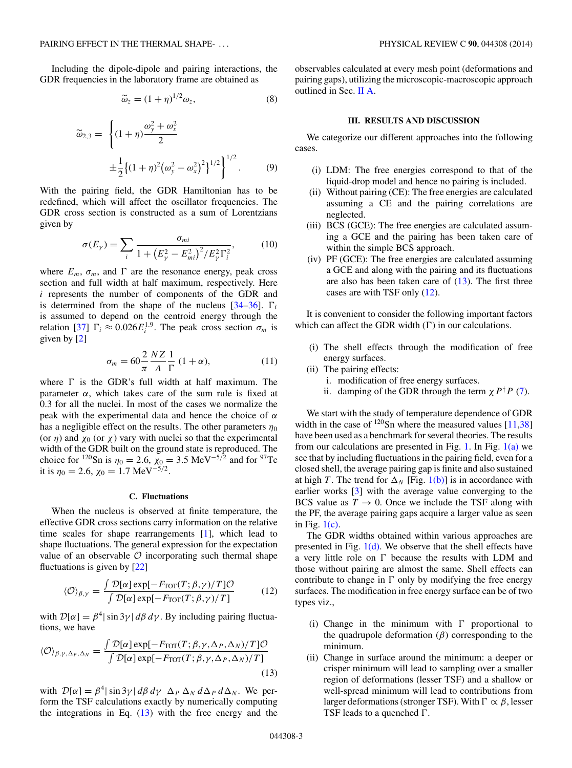Including the dipole-dipole and pairing interactions, the GDR frequencies in the laboratory frame are obtained as

$$
\widetilde{\omega}_z = (1 + \eta)^{1/2} \omega_z, \tag{8}
$$

$$
\widetilde{\omega}_{2,3} = \left\{ (1+\eta) \frac{\omega_y^2 + \omega_x^2}{2} \pm \frac{1}{2} \{ (1+\eta)^2 (\omega_y^2 - \omega_x^2)^2 \}^{1/2} \right\}^{1/2}.
$$
\n(9)

With the pairing field, the GDR Hamiltonian has to be redefined, which will affect the oscillator frequencies. The GDR cross section is constructed as a sum of Lorentzians given by

$$
\sigma(E_{\gamma}) = \sum_{i} \frac{\sigma_{mi}}{1 + \left(E_{\gamma}^{2} - E_{mi}^{2}\right)^{2} / E_{\gamma}^{2} \Gamma_{i}^{2}},
$$
(10)

where  $E_m$ ,  $\sigma_m$ , and  $\Gamma$  are the resonance energy, peak cross section and full width at half maximum, respectively. Here i represents the number of components of the GDR and is determined from the shape of the nucleus  $[34–36]$ .  $\Gamma_i$ is assumed to depend on the centroid energy through the relation [\[37\]](#page-5-0)  $\Gamma_i \approx 0.026 E_i^{1.9}$ . The peak cross section  $\sigma_m$  is given by [\[2\]](#page-4-0)

$$
\sigma_m = 60 \frac{2}{\pi} \frac{NZ}{A} \frac{1}{\Gamma} (1 + \alpha), \tag{11}
$$

where  $\Gamma$  is the GDR's full width at half maximum. The parameter  $\alpha$ , which takes care of the sum rule is fixed at 0.3 for all the nuclei. In most of the cases we normalize the peak with the experimental data and hence the choice of  $\alpha$ has a negligible effect on the results. The other parameters  $\eta_0$ (or  $\eta$ ) and  $\chi_0$  (or  $\chi$ ) vary with nuclei so that the experimental width of the GDR built on the ground state is reproduced. The choice for <sup>120</sup>Sn is  $\eta_0 = 2.6$ ,  $\chi_0 = 3.5$  MeV<sup>-5/2</sup> and for <sup>97</sup>Tc it is  $\eta_0 = 2.6$ ,  $\chi_0 = 1.7 \text{ MeV}^{-5/2}$ .

## **C. Fluctuations**

When the nucleus is observed at finite temperature, the effective GDR cross sections carry information on the relative time scales for shape rearrangements [\[1\]](#page-4-0), which lead to shape fluctuations. The general expression for the expectation value of an observable  $\mathcal O$  incorporating such thermal shape fluctuations is given by [\[22\]](#page-5-0)

$$
\langle \mathcal{O} \rangle_{\beta,\gamma} = \frac{\int \mathcal{D}[\alpha] \exp[-F_{\text{TOT}}(T;\beta,\gamma)/T] \mathcal{O}}{\int \mathcal{D}[\alpha] \exp[-F_{\text{TOT}}(T;\beta,\gamma)/T]} \tag{12}
$$

with  $\mathcal{D}[\alpha] = \beta^4 |\sin 3\gamma| d\beta d\gamma$ . By including pairing fluctuations, we have

$$
\langle \mathcal{O} \rangle_{\beta,\gamma,\Delta_P,\Delta_N} = \frac{\int \mathcal{D}[\alpha] \exp[-F_{\text{TOT}}(T;\beta,\gamma,\Delta_P,\Delta_N)/T] \mathcal{O}}{\int \mathcal{D}[\alpha] \exp[-F_{\text{TOT}}(T;\beta,\gamma,\Delta_P,\Delta_N)/T]} \tag{13}
$$

with  $\mathcal{D}[\alpha] = \beta^4 |\sin 3\gamma| d\beta d\gamma \Delta_P \Delta_N d\Delta_P d\Delta_N$ . We perform the TSF calculations exactly by numerically computing the integrations in Eq.  $(13)$  with the free energy and the observables calculated at every mesh point (deformations and pairing gaps), utilizing the microscopic-macroscopic approach outlined in Sec. [II A.](#page-1-0)

### **III. RESULTS AND DISCUSSION**

We categorize our different approaches into the following cases.

- (i) LDM: The free energies correspond to that of the liquid-drop model and hence no pairing is included.
- (ii) Without pairing (CE): The free energies are calculated assuming a CE and the pairing correlations are neglected.
- (iii) BCS (GCE): The free energies are calculated assuming a GCE and the pairing has been taken care of within the simple BCS approach.
- (iv) PF (GCE): The free energies are calculated assuming a GCE and along with the pairing and its fluctuations are also has been taken care of  $(13)$ . The first three cases are with TSF only (12).

It is convenient to consider the following important factors which can affect the GDR width  $( \Gamma )$  in our calculations.

- (i) The shell effects through the modification of free energy surfaces.
- (ii) The pairing effects:
	- i. modification of free energy surfaces.
	- ii. damping of the GDR through the term  $\chi P^{\dagger} P$  [\(7\)](#page-1-0).

We start with the study of temperature dependence of GDR width in the case of  $^{120}$ Sn where the measured values [\[11](#page-4-0)[,38\]](#page-5-0) have been used as a benchmark for several theories. The results from our calculations are presented in Fig. [1.](#page-3-0) In Fig.  $1(a)$  we see that by including fluctuations in the pairing field, even for a closed shell, the average pairing gap is finite and also sustained at high T. The trend for  $\Delta_N$  [Fig. [1\(b\)\]](#page-3-0) is in accordance with earlier works [\[3\]](#page-4-0) with the average value converging to the BCS value as  $T \rightarrow 0$ . Once we include the TSF along with the PF, the average pairing gaps acquire a larger value as seen in Fig.  $1(c)$ .

The GDR widths obtained within various approaches are presented in Fig.  $1(d)$ . We observe that the shell effects have a very little role on  $\Gamma$  because the results with LDM and those without pairing are almost the same. Shell effects can contribute to change in  $\Gamma$  only by modifying the free energy surfaces. The modification in free energy surface can be of two types viz.,

- (i) Change in the minimum with  $\Gamma$  proportional to the quadrupole deformation  $(\beta)$  corresponding to the minimum.
- (ii) Change in surface around the minimum: a deeper or crisper minimum will lead to sampling over a smaller region of deformations (lesser TSF) and a shallow or well-spread minimum will lead to contributions from larger deformations (stronger TSF). With  $\Gamma \propto \beta$ , lesser TSF leads to a quenched  $\Gamma$ .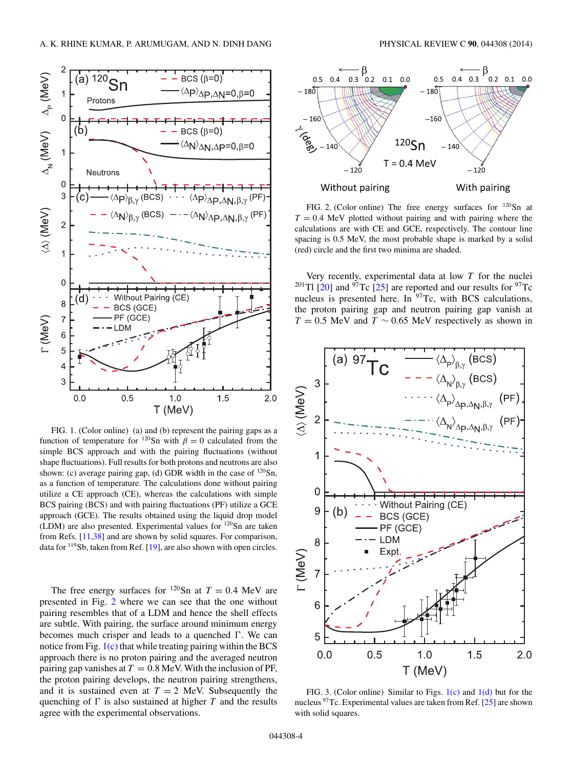<span id="page-3-0"></span>

FIG. 1. (Color online) (a) and (b) represent the pairing gaps as a function of temperature for <sup>120</sup>Sn with  $\beta = 0$  calculated from the simple BCS approach and with the pairing fluctuations (without shape fluctuations). Full results for both protons and neutrons are also shown: (c) average pairing gap, (d) GDR width in the case of  $120$ Sn, as a function of temperature. The calculations done without pairing utilize a CE approach (CE), whereas the calculations with simple BCS pairing (BCS) and with pairing fluctuations (PF) utilize a GCE approach (GCE). The results obtained using the liquid drop model (LDM) are also presented. Experimental values for 120Sn are taken from Refs. [\[11,](#page-4-0)[38\]](#page-5-0) and are shown by solid squares. For comparison, data for <sup>119</sup>Sb, taken from Ref. [\[19\]](#page-5-0), are also shown with open circles.

The free energy surfaces for <sup>120</sup>Sn at  $T = 0.4$  MeV are presented in Fig. 2 where we can see that the one without pairing resembles that of a LDM and hence the shell effects are subtle. With pairing, the surface around minimum energy becomes much crisper and leads to a quenched  $\Gamma$ . We can notice from Fig.  $1(c)$  that while treating pairing within the BCS approach there is no proton pairing and the averaged neutron pairing gap vanishes at  $T = 0.8$  MeV. With the inclusion of PF, the proton pairing develops, the neutron pairing strengthens, and it is sustained even at  $T = 2$  MeV. Subsequently the quenching of  $\Gamma$  is also sustained at higher T and the results agree with the experimental observations.



FIG. 2. (Color online) The free energy surfaces for  $^{120}Sn$  at  $T = 0.4$  MeV plotted without pairing and with pairing where the calculations are with CE and GCE, respectively. The contour line spacing is 0.5 MeV, the most probable shape is marked by a solid (red) circle and the first two minima are shaded.

Very recently, experimental data at low  $T$  for the nuclei <sup>201</sup>Tl [\[20\]](#page-5-0) and <sup>97</sup>Tc [\[25\]](#page-5-0) are reported and our results for <sup>97</sup>Tc nucleus is presented here. In  $97$ Tc, with BCS calculations, the proton pairing gap and neutron pairing gap vanish at  $T = 0.5$  MeV and  $T \sim 0.65$  MeV respectively as shown in



FIG. 3. (Color online) Similar to Figs.  $1(c)$  and  $1(d)$  but for the nucleus  $97$ Tc. Experimental values are taken from Ref. [\[25\]](#page-5-0) are shown with solid squares.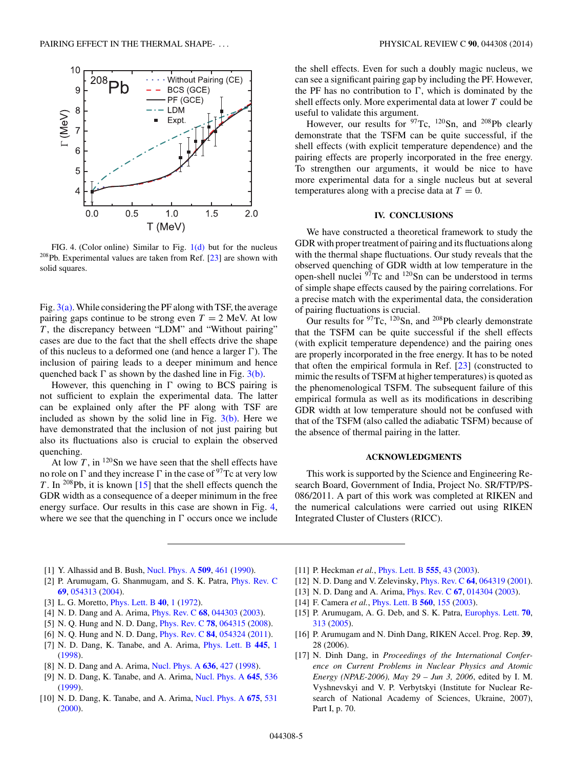<span id="page-4-0"></span>

FIG. 4. (Color online) Similar to Fig. [1\(d\)](#page-3-0) but for the nucleus 208Pb. Experimental values are taken from Ref. [\[23\]](#page-5-0) are shown with solid squares.

Fig.  $3(a)$ . While considering the PF along with TSF, the average pairing gaps continue to be strong even  $T = 2$  MeV. At low  $T$ , the discrepancy between "LDM" and "Without pairing" cases are due to the fact that the shell effects drive the shape of this nucleus to a deformed one (and hence a larger  $\Gamma$ ). The inclusion of pairing leads to a deeper minimum and hence quenched back  $\Gamma$  as shown by the dashed line in Fig. [3\(b\).](#page-3-0)

However, this quenching in  $\Gamma$  owing to BCS pairing is not sufficient to explain the experimental data. The latter can be explained only after the PF along with TSF are included as shown by the solid line in Fig.  $3(b)$ . Here we have demonstrated that the inclusion of not just pairing but also its fluctuations also is crucial to explain the observed quenching.

At low T, in  $120$ Sn we have seen that the shell effects have no role on  $\Gamma$  and they increase  $\Gamma$  in the case of <sup>97</sup>Tc at very low T. In <sup>208</sup>Pb, it is known  $[15]$  that the shell effects quench the GDR width as a consequence of a deeper minimum in the free energy surface. Our results in this case are shown in Fig. 4, where we see that the quenching in  $\Gamma$  occurs once we include the shell effects. Even for such a doubly magic nucleus, we can see a significant pairing gap by including the PF. However, the PF has no contribution to  $\Gamma$ , which is dominated by the shell effects only. More experimental data at lower T could be useful to validate this argument.

However, our results for <sup>97</sup>Tc, <sup>120</sup>Sn, and <sup>208</sup>Pb clearly demonstrate that the TSFM can be quite successful, if the shell effects (with explicit temperature dependence) and the pairing effects are properly incorporated in the free energy. To strengthen our arguments, it would be nice to have more experimental data for a single nucleus but at several temperatures along with a precise data at  $T = 0$ .

## **IV. CONCLUSIONS**

We have constructed a theoretical framework to study the GDR with proper treatment of pairing and its fluctuations along with the thermal shape fluctuations. Our study reveals that the observed quenching of GDR width at low temperature in the open-shell nuclei  $\frac{97}{120}$  and  $\frac{120}{120}$  can be understood in terms of simple shape effects caused by the pairing correlations. For a precise match with the experimental data, the consideration of pairing fluctuations is crucial.

Our results for  $97$ Tc,  $120$ Sn, and  $208$ Pb clearly demonstrate that the TSFM can be quite successful if the shell effects (with explicit temperature dependence) and the pairing ones are properly incorporated in the free energy. It has to be noted that often the empirical formula in Ref. [\[23\]](#page-5-0) (constructed to mimic the results of TSFM at higher temperatures) is quoted as the phenomenological TSFM. The subsequent failure of this empirical formula as well as its modifications in describing GDR width at low temperature should not be confused with that of the TSFM (also called the adiabatic TSFM) because of the absence of thermal pairing in the latter.

### **ACKNOWLEDGMENTS**

This work is supported by the Science and Engineering Research Board, Government of India, Project No. SR/FTP/PS-086/2011. A part of this work was completed at RIKEN and the numerical calculations were carried out using RIKEN Integrated Cluster of Clusters (RICC).

- [1] Y. Alhassid and B. Bush, [Nucl. Phys. A](http://dx.doi.org/10.1016/0375-9474(90)90087-3) **[509](http://dx.doi.org/10.1016/0375-9474(90)90087-3)**, [461](http://dx.doi.org/10.1016/0375-9474(90)90087-3) [\(1990\)](http://dx.doi.org/10.1016/0375-9474(90)90087-3).
- [2] P. Arumugam, G. Shanmugam, and S. K. Patra, [Phys. Rev. C](http://dx.doi.org/10.1103/PhysRevC.69.054313) **[69](http://dx.doi.org/10.1103/PhysRevC.69.054313)**, [054313](http://dx.doi.org/10.1103/PhysRevC.69.054313) [\(2004\)](http://dx.doi.org/10.1103/PhysRevC.69.054313).
- [3] L. G. Moretto, [Phys. Lett. B](http://dx.doi.org/10.1016/0370-2693(72)90265-1) **[40](http://dx.doi.org/10.1016/0370-2693(72)90265-1)**, [1](http://dx.doi.org/10.1016/0370-2693(72)90265-1) [\(1972\)](http://dx.doi.org/10.1016/0370-2693(72)90265-1).
- [4] N. D. Dang and A. Arima, [Phys. Rev. C](http://dx.doi.org/10.1103/PhysRevC.68.044303) **[68](http://dx.doi.org/10.1103/PhysRevC.68.044303)**, [044303](http://dx.doi.org/10.1103/PhysRevC.68.044303) [\(2003\)](http://dx.doi.org/10.1103/PhysRevC.68.044303).
- [5] N. Q. Hung and N. D. Dang, [Phys. Rev. C](http://dx.doi.org/10.1103/PhysRevC.78.064315) **[78](http://dx.doi.org/10.1103/PhysRevC.78.064315)**, [064315](http://dx.doi.org/10.1103/PhysRevC.78.064315) [\(2008\)](http://dx.doi.org/10.1103/PhysRevC.78.064315).
- [6] N. Q. Hung and N. D. Dang, [Phys. Rev. C](http://dx.doi.org/10.1103/PhysRevC.84.054324) **[84](http://dx.doi.org/10.1103/PhysRevC.84.054324)**, [054324](http://dx.doi.org/10.1103/PhysRevC.84.054324) [\(2011\)](http://dx.doi.org/10.1103/PhysRevC.84.054324).
- [7] N. D. Dang, K. Tanabe, and A. Arima, [Phys. Lett. B](http://dx.doi.org/10.1016/S0370-2693(98)01454-3) **[445](http://dx.doi.org/10.1016/S0370-2693(98)01454-3)**, [1](http://dx.doi.org/10.1016/S0370-2693(98)01454-3) [\(1998\)](http://dx.doi.org/10.1016/S0370-2693(98)01454-3).
- [8] N. D. Dang and A. Arima, [Nucl. Phys. A](http://dx.doi.org/10.1016/S0375-9474(98)00211-5) **[636](http://dx.doi.org/10.1016/S0375-9474(98)00211-5)**, [427](http://dx.doi.org/10.1016/S0375-9474(98)00211-5) [\(1998\)](http://dx.doi.org/10.1016/S0375-9474(98)00211-5).
- [9] N. D. Dang, K. Tanabe, and A. Arima, [Nucl. Phys. A](http://dx.doi.org/10.1016/S0375-9474(98)00621-6) **[645](http://dx.doi.org/10.1016/S0375-9474(98)00621-6)**, [536](http://dx.doi.org/10.1016/S0375-9474(98)00621-6) [\(1999\)](http://dx.doi.org/10.1016/S0375-9474(98)00621-6).
- [10] N. D. Dang, K. Tanabe, and A. Arima, [Nucl. Phys. A](http://dx.doi.org/10.1016/S0375-9474(00)00186-X) **[675](http://dx.doi.org/10.1016/S0375-9474(00)00186-X)**, [531](http://dx.doi.org/10.1016/S0375-9474(00)00186-X) [\(2000\)](http://dx.doi.org/10.1016/S0375-9474(00)00186-X).
- [11] P. Heckman *et al.*, [Phys. Lett. B](http://dx.doi.org/10.1016/S0370-2693(03)00017-0) **[555](http://dx.doi.org/10.1016/S0370-2693(03)00017-0)**, [43](http://dx.doi.org/10.1016/S0370-2693(03)00017-0) [\(2003\)](http://dx.doi.org/10.1016/S0370-2693(03)00017-0).
- [12] N. D. Dang and V. Zelevinsky, [Phys. Rev. C](http://dx.doi.org/10.1103/PhysRevC.64.064319) **[64](http://dx.doi.org/10.1103/PhysRevC.64.064319)**, [064319](http://dx.doi.org/10.1103/PhysRevC.64.064319) [\(2001\)](http://dx.doi.org/10.1103/PhysRevC.64.064319).
- [13] N. D. Dang and A. Arima, [Phys. Rev. C](http://dx.doi.org/10.1103/PhysRevC.67.014304) **[67](http://dx.doi.org/10.1103/PhysRevC.67.014304)**, [014304](http://dx.doi.org/10.1103/PhysRevC.67.014304) [\(2003\)](http://dx.doi.org/10.1103/PhysRevC.67.014304).
- [14] F. Camera *et al.*, [Phys. Lett. B](http://dx.doi.org/10.1016/S0370-2693(03)00403-9) **[560](http://dx.doi.org/10.1016/S0370-2693(03)00403-9)**, [155](http://dx.doi.org/10.1016/S0370-2693(03)00403-9) [\(2003\)](http://dx.doi.org/10.1016/S0370-2693(03)00403-9).
- [15] P. Arumugam, A. G. Deb, and S. K. Patra, [Europhys. Lett.](http://dx.doi.org/10.1209/epl/i2005-10012-8) **[70](http://dx.doi.org/10.1209/epl/i2005-10012-8)**, [313](http://dx.doi.org/10.1209/epl/i2005-10012-8) [\(2005\)](http://dx.doi.org/10.1209/epl/i2005-10012-8).
- [16] P. Arumugam and N. Dinh Dang, RIKEN Accel. Prog. Rep. **39**, 28 (2006).
- [17] N. Dinh Dang, in *Proceedings of the International Conference on Current Problems in Nuclear Physics and Atomic Energy (NPAE-2006), May 29 – Jun 3, 2006*, edited by I. M. Vyshnevskyi and V. P. Verbytskyi (Institute for Nuclear Research of National Academy of Sciences, Ukraine, 2007), Part I, p. 70.